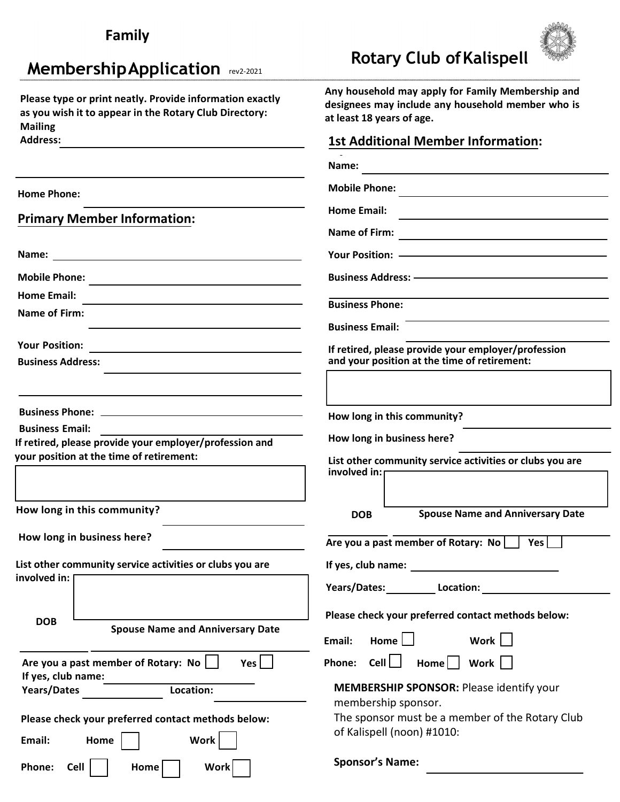| Family                                                                                                                               |                                                                                                                                                                                                                                |  |
|--------------------------------------------------------------------------------------------------------------------------------------|--------------------------------------------------------------------------------------------------------------------------------------------------------------------------------------------------------------------------------|--|
| <b>Membership Application</b> rev2-2021                                                                                              | <b>Rotary Club of Kalispell</b>                                                                                                                                                                                                |  |
| Please type or print neatly. Provide information exactly<br>as you wish it to appear in the Rotary Club Directory:<br><b>Mailing</b> | Any household may apply for Family Membership and<br>designees may include any household member who is<br>at least 18 years of age.                                                                                            |  |
| <b>Address:</b><br>the control of the control of the control of the control of the control of                                        | <b>1st Additional Member Information:</b>                                                                                                                                                                                      |  |
|                                                                                                                                      |                                                                                                                                                                                                                                |  |
| <b>Home Phone:</b>                                                                                                                   | <b>Mobile Phone:</b>                                                                                                                                                                                                           |  |
|                                                                                                                                      | <b>Home Email:</b><br>the control of the control of the control of the control of the control of                                                                                                                               |  |
| <b>Primary Member Information:</b>                                                                                                   |                                                                                                                                                                                                                                |  |
|                                                                                                                                      | Your Position: ————————————————————                                                                                                                                                                                            |  |
|                                                                                                                                      |                                                                                                                                                                                                                                |  |
| <b>Home Email:</b>                                                                                                                   | <b>Business Phone:</b>                                                                                                                                                                                                         |  |
| Name of Firm:                                                                                                                        |                                                                                                                                                                                                                                |  |
|                                                                                                                                      | <b>Business Email:</b>                                                                                                                                                                                                         |  |
| <b>Your Position:</b><br><b>Business Address:</b>                                                                                    | If retired, please provide your employer/profession<br>and your position at the time of retirement:                                                                                                                            |  |
|                                                                                                                                      |                                                                                                                                                                                                                                |  |
|                                                                                                                                      | How long in this community?                                                                                                                                                                                                    |  |
| <b>Business Email:</b>                                                                                                               | How long in business here?                                                                                                                                                                                                     |  |
| If retired, please provide your employer/profession and<br>your position at the time of retirement:                                  |                                                                                                                                                                                                                                |  |
|                                                                                                                                      | List other community service activities or clubs you are<br>involved in: $\Box$                                                                                                                                                |  |
|                                                                                                                                      |                                                                                                                                                                                                                                |  |
| How long in this community?                                                                                                          | <b>Spouse Name and Anniversary Date</b><br><b>DOB</b>                                                                                                                                                                          |  |
| How long in business here?                                                                                                           | Are you a past member of Rotary: No     Yes                                                                                                                                                                                    |  |
| List other community service activities or clubs you are                                                                             | If yes, club name: The same of the same of the same of the same of the same of the same of the same of the same of the same of the same of the same of the same of the same of the same of the same of the same of the same of |  |
| involved in:                                                                                                                         | Years/Dates: Location:                                                                                                                                                                                                         |  |
|                                                                                                                                      |                                                                                                                                                                                                                                |  |
| <b>DOB</b><br><b>Spouse Name and Anniversary Date</b>                                                                                | Please check your preferred contact methods below:                                                                                                                                                                             |  |
|                                                                                                                                      | Home $\Box$<br>Work  <br>Email:                                                                                                                                                                                                |  |
| Are you a past member of Rotary: No  <br>Yes                                                                                         | Phone: Cell $\Box$ Home $\vert$ Work $\vert$                                                                                                                                                                                   |  |
| If yes, club name:<br>Location:<br>Years/Dates                                                                                       | <b>MEMBERSHIP SPONSOR: Please identify your</b>                                                                                                                                                                                |  |
|                                                                                                                                      | membership sponsor.                                                                                                                                                                                                            |  |
| Please check your preferred contact methods below:                                                                                   | The sponsor must be a member of the Rotary Club<br>of Kalispell (noon) #1010:                                                                                                                                                  |  |
| <b>Work</b><br>Email:<br>Home                                                                                                        |                                                                                                                                                                                                                                |  |
| Phone:<br><b>Cell</b><br><b>Work</b><br>Home                                                                                         | <b>Sponsor's Name:</b>                                                                                                                                                                                                         |  |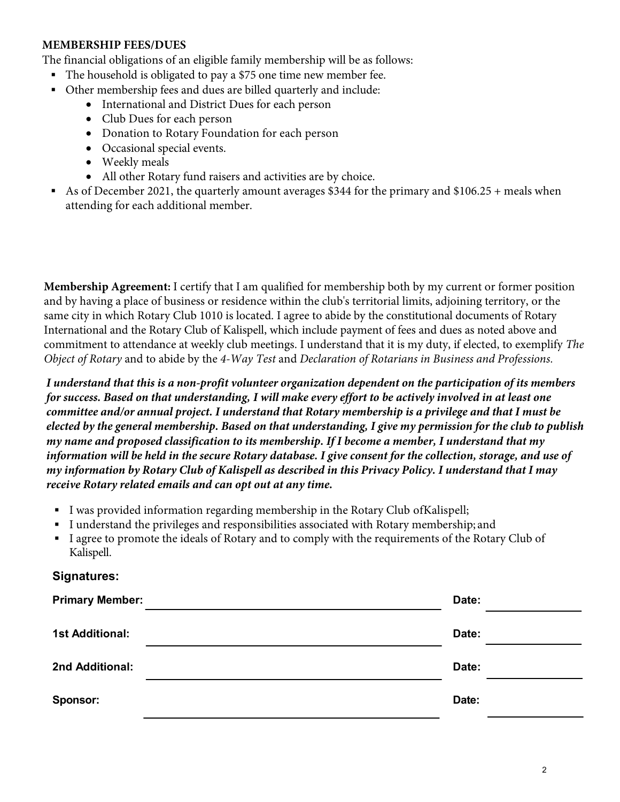### **MEMBERSHIP FEES/DUES**

The financial obligations of an eligible family membership will be as follows:

- The household is obligated to pay a \$75 one time new member fee.
- Other membership fees and dues are billed quarterly and include:
	- International and District Dues for each person
	- Club Dues for each person
	- Donation to Rotary Foundation for each person
	- Occasional special events.
	- Weekly meals
	- All other Rotary fund raisers and activities are by choice.
- As of December 2021, the quarterly amount averages \$344 for the primary and \$106.25 + meals when attending for each additional member.

**Membership Agreement:** I certify that I am qualified for membership both by my current or former position and by having a place of business or residence within the club's territorial limits, adjoining territory, or the same city in which Rotary Club 1010 is located. I agree to abide by the constitutional documents of Rotary International and the Rotary Club of Kalispell, which include payment of fees and dues as noted above and commitment to attendance at weekly club meetings. I understand that it is my duty, if elected, to exemplify *The Object of Rotary* and to abide by the *4-Way Test* and *Declaration of Rotarians in Business and Professions.*

*I understand that this is a non-profit volunteer organization dependent on the participation of its members for success. Based on that understanding, I will make every effort to be actively involved in at least one committee and/or annual project. I understand that Rotary membership is a privilege and that I must be elected by the general membership. Based on that understanding, I give my permission for the club to publish my name and proposed classification to its membership. If I become a member, I understand that my information will be held in the secure Rotary database. I give consent for the collection, storage, and use of my information by Rotary Club of Kalispell as described in this Privacy Policy. I understand that I may receive Rotary related emails and can opt out at any time.*

- I was provided information regarding membership in the Rotary Club ofKalispell;
- I understand the privileges and responsibilities associated with Rotary membership; and
- I agree to promote the ideals of Rotary and to comply with the requirements of the Rotary Club of Kalispell.

### **Signatures:**

| <b>Primary Member:</b> | Date: |  |
|------------------------|-------|--|
| <b>1st Additional:</b> | Date: |  |
| 2nd Additional:        | Date: |  |
| <b>Sponsor:</b>        | Date: |  |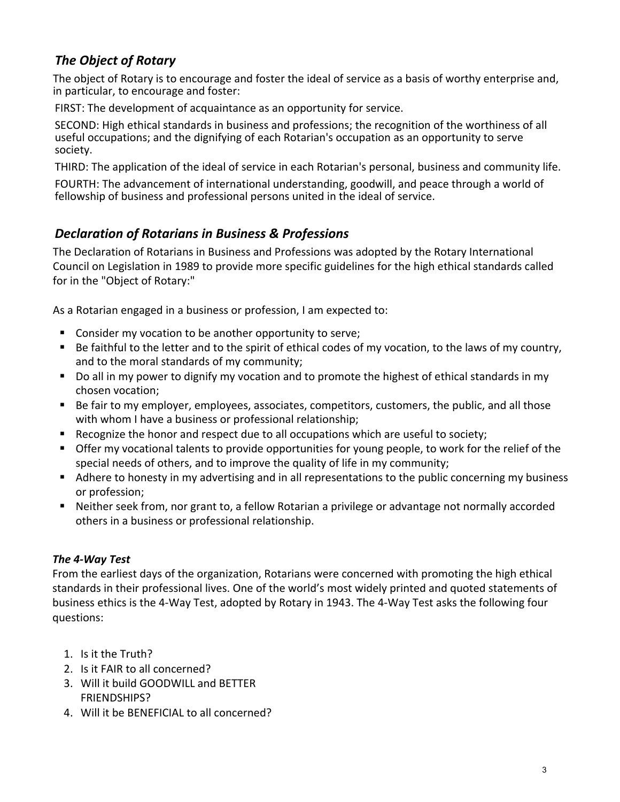# *The Object of Rotary*

The object of Rotary is to encourage and foster the ideal of service as a basis of worthy enterprise and, in particular, to encourage and foster:

FIRST: The development of acquaintance as an opportunity for service.

SECOND: High ethical standards in business and professions; the recognition of the worthiness of all useful occupations; and the dignifying of each Rotarian's occupation as an opportunity to serve society.

THIRD: The application of the ideal of service in each Rotarian's personal, business and community life.

FOURTH: The advancement of international understanding, goodwill, and peace through a world of fellowship of business and professional persons united in the ideal of service.

## *Declaration of Rotarians in Business & Professions*

The Declaration of Rotarians in Business and Professions was adopted by the Rotary International Council on Legislation in 1989 to provide more specific guidelines for the high ethical standards called for in the "Object of Rotary:"

As a Rotarian engaged in a business or profession, I am expected to:

- **Consider my vocation to be another opportunity to serve;**
- $\blacksquare$  Be faithful to the letter and to the spirit of ethical codes of my vocation, to the laws of my country, and to the moral standards of my community;
- Do all in my power to dignify my vocation and to promote the highest of ethical standards in my chosen vocation;
- Be fair to my employer, employees, associates, competitors, customers, the public, and all those with whom I have a business or professional relationship;
- Recognize the honor and respect due to all occupations which are useful to society;
- **Offer my vocational talents to provide opportunities for young people, to work for the relief of the** special needs of others, and to improve the quality of life in my community;
- **Adhere to honesty in my advertising and in all representations to the public concerning my business** or profession;
- Neither seek from, nor grant to, a fellow Rotarian a privilege or advantage not normally accorded others in a business or professional relationship.

### *The 4-Way Test*

From the earliest days of the organization, Rotarians were concerned with promoting the high ethical standards in their professional lives. One of the world's most widely printed and quoted statements of business ethics is the 4-Way Test, adopted by Rotary in 1943. The 4-Way Test asks the following four questions:

- 1. Is it the Truth?
- 2. Is it FAIR to all concerned?
- 3. Will it build GOODWILL and BETTER FRIENDSHIPS?
- 4. Will it be BENEFICIAL to all concerned?